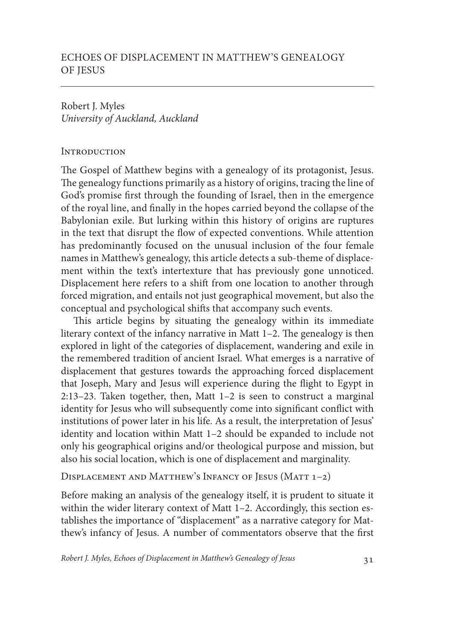Robert J. Myles *University of Auckland, Auckland*

## **INTRODUCTION**

The Gospel of Matthew begins with a genealogy of its protagonist, Jesus. The genealogy functions primarily as a history of origins, tracing the line of God's promise first through the founding of Israel, then in the emergence of the royal line, and finally in the hopes carried beyond the collapse of the Babylonian exile. But lurking within this history of origins are ruptures in the text that disrupt the flow of expected conventions. While attention has predominantly focused on the unusual inclusion of the four female names in Matthew's genealogy, this article detects a sub-theme of displacement within the text's intertexture that has previously gone unnoticed. Displacement here refers to a shift from one location to another through forced migration, and entails not just geographical movement, but also the conceptual and psychological shifts that accompany such events.

This article begins by situating the genealogy within its immediate literary context of the infancy narrative in Matt 1–2. The genealogy is then explored in light of the categories of displacement, wandering and exile in the remembered tradition of ancient Israel. What emerges is a narrative of displacement that gestures towards the approaching forced displacement that Joseph, Mary and Jesus will experience during the flight to Egypt in 2:13–23. Taken together, then, Matt 1–2 is seen to construct a marginal identity for Jesus who will subsequently come into significant conflict with institutions of power later in his life. As a result, the interpretation of Jesus' identity and location within Matt 1–2 should be expanded to include not only his geographical origins and/or theological purpose and mission, but also his social location, which is one of displacement and marginality.

## Displacement and Matthew's Infancy of Jesus (Matt 1–2)

Before making an analysis of the genealogy itself, it is prudent to situate it within the wider literary context of Matt 1-2. Accordingly, this section establishes the importance of "displacement" as a narrative category for Matthew's infancy of Jesus. A number of commentators observe that the first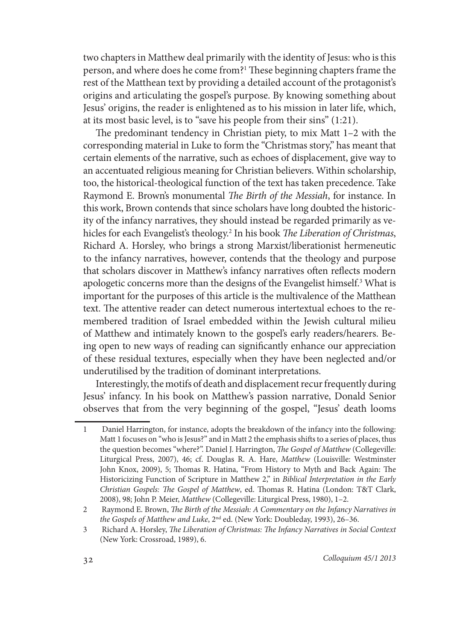two chapters in Matthew deal primarily with the identity of Jesus: who is this person, and where does he come from?' These beginning chapters frame the rest of the Matthean text by providing a detailed account of the protagonist's origins and articulating the gospel's purpose. By knowing something about Jesus' origins, the reader is enlightened as to his mission in later life, which, at its most basic level, is to "save his people from their sins" (1:21).

The predominant tendency in Christian piety, to mix Matt 1–2 with the corresponding material in Luke to form the "Christmas story," has meant that certain elements of the narrative, such as echoes of displacement, give way to an accentuated religious meaning for Christian believers. Within scholarship, too, the historical-theological function of the text has taken precedence. Take Raymond E. Brown's monumental *The Birth of the Messiah*, for instance. In this work, Brown contends that since scholars have long doubted the historicity of the infancy narratives, they should instead be regarded primarily as vehicles for each Evangelist's theology.2 In his book *The Liberation of Christmas*, Richard A. Horsley, who brings a strong Marxist/liberationist hermeneutic to the infancy narratives, however, contends that the theology and purpose that scholars discover in Matthew's infancy narratives often reflects modern apologetic concerns more than the designs of the Evangelist himself.<sup>3</sup> What is important for the purposes of this article is the multivalence of the Matthean text. The attentive reader can detect numerous intertextual echoes to the remembered tradition of Israel embedded within the Jewish cultural milieu of Matthew and intimately known to the gospel's early readers/hearers. Being open to new ways of reading can significantly enhance our appreciation of these residual textures, especially when they have been neglected and/or underutilised by the tradition of dominant interpretations.

Interestingly, the motifs of death and displacement recur frequently during Jesus' infancy. In his book on Matthew's passion narrative, Donald Senior observes that from the very beginning of the gospel, "Jesus' death looms

<sup>1</sup> Daniel Harrington, for instance, adopts the breakdown of the infancy into the following: Matt 1 focuses on "who is Jesus?" and in Matt 2 the emphasis shifts to a series of places, thus the question becomes "where?". Daniel J. Harrington, *The Gospel of Matthew* (Collegeville: Liturgical Press, 2007), 46; cf. Douglas R. A. Hare, *Matthew* (Louisville: Westminster John Knox, 2009), 5; Thomas R. Hatina, "From History to Myth and Back Again: The Historicizing Function of Scripture in Matthew 2," in *Biblical Interpretation in the Early Christian Gospels: The Gospel of Matthew*, ed. Thomas R. Hatina (London: T&T Clark, 2008), 98; John P. Meier, *Matthew* (Collegeville: Liturgical Press, 1980), 1–2.

<sup>2</sup> Raymond E. Brown, *The Birth of the Messiah: A Commentary on the Infancy Narratives in the Gospels of Matthew and Luke*, 2nd ed. (New York: Doubleday, 1993), 26–36.

<sup>3</sup> Richard A. Horsley, *The Liberation of Christmas: The Infancy Narratives in Social Context* (New York: Crossroad, 1989), 6.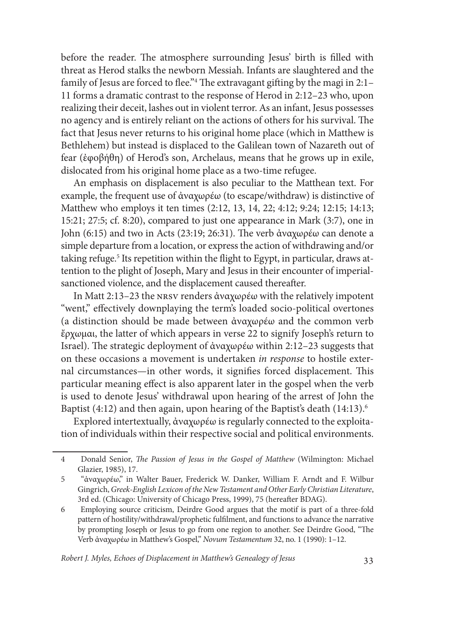before the reader. The atmosphere surrounding Jesus' birth is filled with threat as Herod stalks the newborn Messiah. Infants are slaughtered and the family of Jesus are forced to flee."4 The extravagant gifting by the magi in 2:1– 11 forms a dramatic contrast to the response of Herod in 2:12–23 who, upon realizing their deceit, lashes out in violent terror. As an infant, Jesus possesses no agency and is entirely reliant on the actions of others for his survival. The fact that Jesus never returns to his original home place (which in Matthew is Bethlehem) but instead is displaced to the Galilean town of Nazareth out of fear (ἐφοβήθη) of Herod's son, Archelaus, means that he grows up in exile, dislocated from his original home place as a two-time refugee.

An emphasis on displacement is also peculiar to the Matthean text. For example, the frequent use of ἀναχωρέω (to escape/withdraw) is distinctive of Matthew who employs it ten times (2:12, 13, 14, 22; 4:12; 9:24; 12:15; 14:13; 15:21; 27:5; cf. 8:20), compared to just one appearance in Mark (3:7), one in John (6:15) and two in Acts (23:19; 26:31). The verb ἀναχωρέω can denote a simple departure from a location, or express the action of withdrawing and/or taking refuge.<sup>5</sup> Its repetition within the flight to Egypt, in particular, draws attention to the plight of Joseph, Mary and Jesus in their encounter of imperialsanctioned violence, and the displacement caused thereafter.

In Matt 2:13–23 the nrsv renders ἀναχωρέω with the relatively impotent "went," effectively downplaying the term's loaded socio-political overtones (a distinction should be made between ἀναχωρέω and the common verb ἔρχωμαι, the latter of which appears in verse 22 to signify Joseph's return to Israel). The strategic deployment of ἀναχωρέω within 2:12–23 suggests that on these occasions a movement is undertaken *in response* to hostile external circumstances—in other words, it signifies forced displacement. This particular meaning effect is also apparent later in the gospel when the verb is used to denote Jesus' withdrawal upon hearing of the arrest of John the Baptist  $(4:12)$  and then again, upon hearing of the Baptist's death  $(14:13)$ .<sup>6</sup>

Explored intertextually, ἀναχωρέω is regularly connected to the exploitation of individuals within their respective social and political environments.

*Robert J. Myles, Echoes of Displacement in Matthew's Genealogy of Jesus* 33

<sup>4</sup> Donald Senior, *The Passion of Jesus in the Gospel of Matthew* (Wilmington: Michael Glazier, 1985), 17.

<sup>5 &</sup>quot;ἀναχωρέω," in Walter Bauer, Frederick W. Danker, William F. Arndt and F. Wilbur Gingrich, *Greek-English Lexicon of the New Testament and Other Early Christian Literature*, 3rd ed. (Chicago: University of Chicago Press, 1999), 75 (hereafter BDAG).

<sup>6</sup> Employing source criticism, Deirdre Good argues that the motif is part of a three-fold pattern of hostility/withdrawal/prophetic fulfilment, and functions to advance the narrative by prompting Joseph or Jesus to go from one region to another. See Deirdre Good, "The Verb ἀναχωρέω in Matthew's Gospel," *Novum Testamentum* 32, no. 1 (1990): 1–12.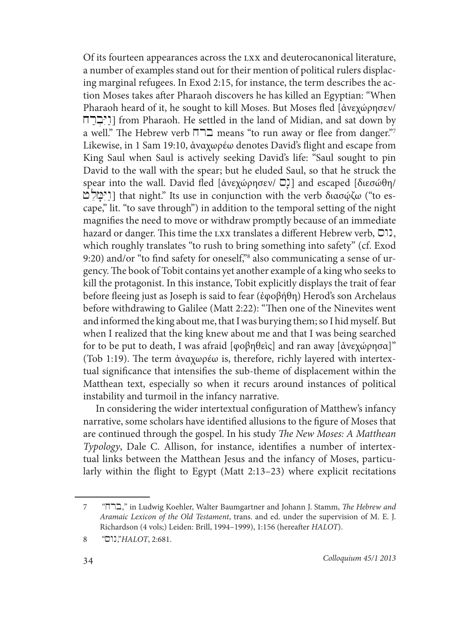Of its fourteen appearances across the lxx and deuterocanonical literature, a number of examples stand out for their mention of political rulers displacing marginal refugees. In Exod 2:15, for instance, the term describes the action Moses takes after Pharaoh discovers he has killed an Egyptian: "When Pharaoh heard of it, he sought to kill Moses. But Moses fled [ἀνεχώρησεν/ xrab;yi@wa] from Pharaoh. He settled in the land of Midian, and sat down by a well." The Hebrew verb  $\square \square$  means "to run away or flee from danger."7 Likewise, in 1 Sam 19:10, ἀναχωρέω denotes David's flight and escape from King Saul when Saul is actively seeking David's life: "Saul sought to pin David to the wall with the spear; but he eluded Saul, so that he struck the spear into the wall. David fled  $\left[\frac{\partial x}{\partial y} + \frac{\partial y}{\partial z}\right]$  and escaped  $\left[\frac{\partial x}{\partial y} + \frac{\partial y}{\partial z}\right]$ +l'm%fyi@wa] that night." Its use in conjunction with the verb διασῴζω ("to escape," lit. "to save through") in addition to the temporal setting of the night magnifies the need to move or withdraw promptly because of an immediate hazard or danger. This time the LXX translates a different Hebrew verb,  $\Box$ ). which roughly translates "to rush to bring something into safety" (cf. Exod 9:20) and/or "to find safety for oneself,"8 also communicating a sense of urgency. The book of Tobit contains yet another example of a king who seeks to kill the protagonist. In this instance, Tobit explicitly displays the trait of fear before fleeing just as Joseph is said to fear (ἐφοβήθη) Herod's son Archelaus before withdrawing to Galilee (Matt 2:22): "Then one of the Ninevites went and informed the king about me, that I was burying them; so I hid myself. But when I realized that the king knew about me and that I was being searched for to be put to death, I was afraid [φοβηθεὶς] and ran away [ἀνεχώρησα]" (Tob 1:19). The term ἀναχωρέω is, therefore, richly layered with intertextual significance that intensifies the sub-theme of displacement within the Matthean text, especially so when it recurs around instances of political instability and turmoil in the infancy narrative.

In considering the wider intertextual configuration of Matthew's infancy narrative, some scholars have identified allusions to the figure of Moses that are continued through the gospel. In his study *The New Moses: A Matthean Typology*, Dale C. Allison, for instance, identifies a number of intertextual links between the Matthean Jesus and the infancy of Moses, particularly within the flight to Egypt (Matt 2:13–23) where explicit recitations

<sup>7 &</sup>quot;xrb," in Ludwig Koehler, Walter Baumgartner and Johann J. Stamm, *The Hebrew and Aramaic Lexicon of the Old Testament*, trans. and ed. under the supervision of M. E. J. Richardson (4 vols;) Leiden: Brill, 1994–1999), 1:156 (hereafter *HALOT*).

<sup>8 &</sup>quot;swn,"*HALOT*, 2:681.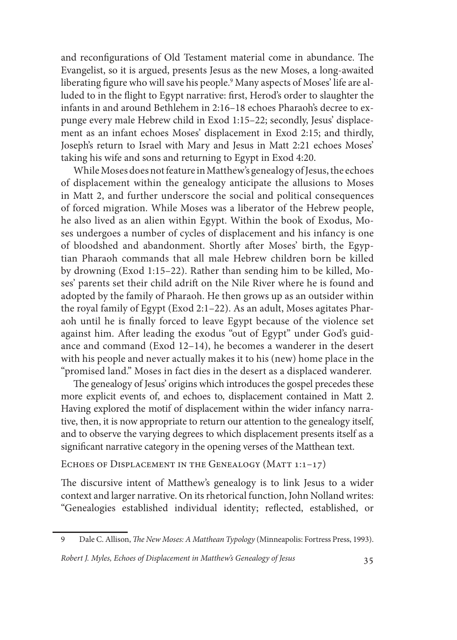and reconfigurations of Old Testament material come in abundance. The Evangelist, so it is argued, presents Jesus as the new Moses, a long-awaited liberating figure who will save his people.9 Many aspects of Moses' life are alluded to in the flight to Egypt narrative: first, Herod's order to slaughter the infants in and around Bethlehem in 2:16–18 echoes Pharaoh's decree to expunge every male Hebrew child in Exod 1:15–22; secondly, Jesus' displacement as an infant echoes Moses' displacement in Exod 2:15; and thirdly, Joseph's return to Israel with Mary and Jesus in Matt 2:21 echoes Moses' taking his wife and sons and returning to Egypt in Exod 4:20.

While Moses does not feature in Matthew's genealogy of Jesus, the echoes of displacement within the genealogy anticipate the allusions to Moses in Matt 2, and further underscore the social and political consequences of forced migration. While Moses was a liberator of the Hebrew people, he also lived as an alien within Egypt. Within the book of Exodus, Moses undergoes a number of cycles of displacement and his infancy is one of bloodshed and abandonment. Shortly after Moses' birth, the Egyptian Pharaoh commands that all male Hebrew children born be killed by drowning (Exod 1:15–22). Rather than sending him to be killed, Moses' parents set their child adrift on the Nile River where he is found and adopted by the family of Pharaoh. He then grows up as an outsider within the royal family of Egypt (Exod 2:1–22). As an adult, Moses agitates Pharaoh until he is finally forced to leave Egypt because of the violence set against him. After leading the exodus "out of Egypt" under God's guidance and command (Exod 12–14), he becomes a wanderer in the desert with his people and never actually makes it to his (new) home place in the "promised land." Moses in fact dies in the desert as a displaced wanderer.

The genealogy of Jesus' origins which introduces the gospel precedes these more explicit events of, and echoes to, displacement contained in Matt 2. Having explored the motif of displacement within the wider infancy narrative, then, it is now appropriate to return our attention to the genealogy itself, and to observe the varying degrees to which displacement presents itself as a significant narrative category in the opening verses of the Matthean text.

ECHOES OF DISPLACEMENT IN THE GENEALOGY (MATT 1:1-17)

The discursive intent of Matthew's genealogy is to link Jesus to a wider context and larger narrative. On its rhetorical function, John Nolland writes: "Genealogies established individual identity; reflected, established, or

<sup>9</sup> Dale C. Allison, *The New Moses: A Matthean Typology* (Minneapolis: Fortress Press, 1993).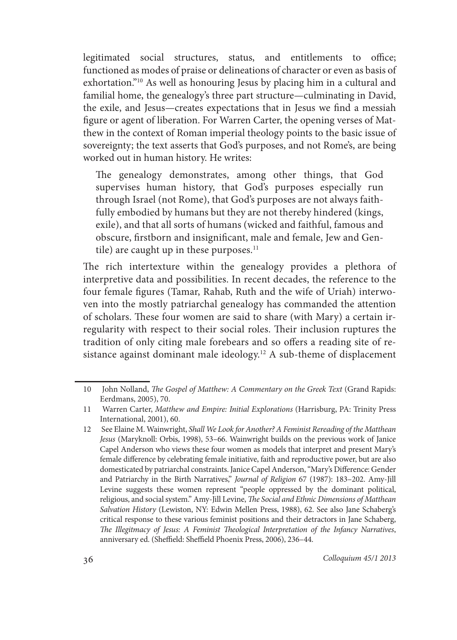legitimated social structures, status, and entitlements to office; functioned as modes of praise or delineations of character or even as basis of exhortation."<sup>10</sup> As well as honouring Jesus by placing him in a cultural and familial home, the genealogy's three part structure—culminating in David, the exile, and Jesus—creates expectations that in Jesus we find a messiah figure or agent of liberation. For Warren Carter, the opening verses of Matthew in the context of Roman imperial theology points to the basic issue of sovereignty; the text asserts that God's purposes, and not Rome's, are being worked out in human history. He writes:

The genealogy demonstrates, among other things, that God supervises human history, that God's purposes especially run through Israel (not Rome), that God's purposes are not always faithfully embodied by humans but they are not thereby hindered (kings, exile), and that all sorts of humans (wicked and faithful, famous and obscure, firstborn and insignificant, male and female, Jew and Gentile) are caught up in these purposes. $11$ 

The rich intertexture within the genealogy provides a plethora of interpretive data and possibilities. In recent decades, the reference to the four female figures (Tamar, Rahab, Ruth and the wife of Uriah) interwoven into the mostly patriarchal genealogy has commanded the attention of scholars. These four women are said to share (with Mary) a certain irregularity with respect to their social roles. Their inclusion ruptures the tradition of only citing male forebears and so offers a reading site of resistance against dominant male ideology.<sup>12</sup> A sub-theme of displacement

<sup>10</sup> John Nolland, *The Gospel of Matthew: A Commentary on the Greek Text* (Grand Rapids: Eerdmans, 2005), 70.

<sup>11</sup> Warren Carter, *Matthew and Empire: Initial Explorations* (Harrisburg, PA: Trinity Press International, 2001), 60.

<sup>12</sup> See Elaine M. Wainwright, *Shall We Look for Another? A Feminist Rereading of the Matthean Jesus* (Maryknoll: Orbis, 1998), 53–66. Wainwright builds on the previous work of Janice Capel Anderson who views these four women as models that interpret and present Mary's female difference by celebrating female initiative, faith and reproductive power, but are also domesticated by patriarchal constraints. Janice Capel Anderson, "Mary's Difference: Gender and Patriarchy in the Birth Narratives," *Journal of Religion* 67 (1987): 183–202. Amy-Jill Levine suggests these women represent "people oppressed by the dominant political, religious, and social system." Amy-Jill Levine, *The Social and Ethnic Dimensions of Matthean Salvation History* (Lewiston, NY: Edwin Mellen Press, 1988), 62. See also Jane Schaberg's critical response to these various feminist positions and their detractors in Jane Schaberg, *The Illegitmacy of Jesus: A Feminist Theological Interpretation of the Infancy Narratives*, anniversary ed. (Sheffield: Sheffield Phoenix Press, 2006), 236–44.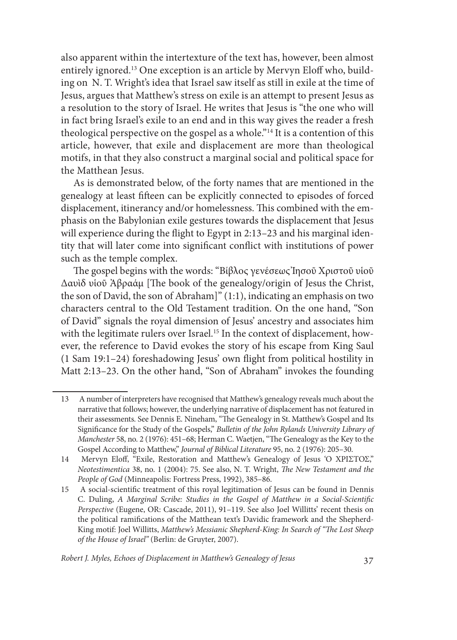also apparent within the intertexture of the text has, however, been almost entirely ignored.13 One exception is an article by Mervyn Eloff who, building on N. T. Wright's idea that Israel saw itself as still in exile at the time of Jesus, argues that Matthew's stress on exile is an attempt to present Jesus as a resolution to the story of Israel. He writes that Jesus is "the one who will in fact bring Israel's exile to an end and in this way gives the reader a fresh theological perspective on the gospel as a whole."14 It is a contention of this article, however, that exile and displacement are more than theological motifs, in that they also construct a marginal social and political space for the Matthean Jesus.

As is demonstrated below, of the forty names that are mentioned in the genealogy at least fifteen can be explicitly connected to episodes of forced displacement, itinerancy and/or homelessness. This combined with the emphasis on the Babylonian exile gestures towards the displacement that Jesus will experience during the flight to Egypt in 2:13–23 and his marginal identity that will later come into significant conflict with institutions of power such as the temple complex.

The gospel begins with the words: "Βίβλος γενέσεως Ἰησοῦ Χριστοῦ υἱοῦ Δαυὶδ υἱοῦ Ἀβραάμ [The book of the genealogy/origin of Jesus the Christ, the son of David, the son of Abraham]" (1:1), indicating an emphasis on two characters central to the Old Testament tradition. On the one hand, "Son of David" signals the royal dimension of Jesus' ancestry and associates him with the legitimate rulers over Israel.<sup>15</sup> In the context of displacement, however, the reference to David evokes the story of his escape from King Saul (1 Sam 19:1–24) foreshadowing Jesus' own flight from political hostility in Matt 2:13–23. On the other hand, "Son of Abraham" invokes the founding

*Robert J. Myles, Echoes of Displacement in Matthew's Genealogy of Jesus* 37

<sup>13</sup> A number of interpreters have recognised that Matthew's genealogy reveals much about the narrative that follows; however, the underlying narrative of displacement has not featured in their assessments. See Dennis E. Nineham, "The Genealogy in St. Matthew's Gospel and Its Significance for the Study of the Gospels," *Bulletin of the John Rylands University Library of Manchester* 58, no. 2 (1976): 451–68; Herman C. Waetjen, "The Genealogy as the Key to the Gospel According to Matthew," *Journal of Biblical Literature* 95, no. 2 (1976): 205–30.

<sup>14</sup> Mervyn Eloff, "Exile, Restoration and Matthew's Genealogy of Jesus 'O ΧΡΙΣΤΟΣ," *Neotestimentica* 38, no. 1 (2004): 75. See also, N. T. Wright, *The New Testament and the People of God* (Minneapolis: Fortress Press, 1992), 385–86.

<sup>15</sup> A social-scientific treatment of this royal legitimation of Jesus can be found in Dennis C. Duling, *A Marginal Scribe: Studies in the Gospel of Matthew in a Social-Scientific Perspective* (Eugene, OR: Cascade, 2011), 91–119. See also Joel Willitts' recent thesis on the political ramifications of the Matthean text's Davidic framework and the Shepherd-King motif: Joel Willitts, *Matthew's Messianic Shepherd-King: In Search of "The Lost Sheep of the House of Israel"* (Berlin: de Gruyter, 2007).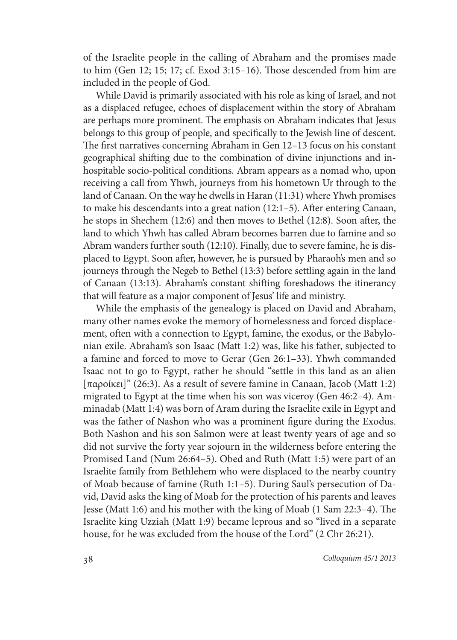of the Israelite people in the calling of Abraham and the promises made to him (Gen 12; 15; 17; cf. Exod 3:15–16). Those descended from him are included in the people of God.

While David is primarily associated with his role as king of Israel, and not as a displaced refugee, echoes of displacement within the story of Abraham are perhaps more prominent. The emphasis on Abraham indicates that Jesus belongs to this group of people, and specifically to the Jewish line of descent. The first narratives concerning Abraham in Gen 12–13 focus on his constant geographical shifting due to the combination of divine injunctions and inhospitable socio-political conditions. Abram appears as a nomad who, upon receiving a call from Yhwh, journeys from his hometown Ur through to the land of Canaan. On the way he dwells in Haran (11:31) where Yhwh promises to make his descendants into a great nation (12:1–5). After entering Canaan, he stops in Shechem (12:6) and then moves to Bethel (12:8). Soon after, the land to which Yhwh has called Abram becomes barren due to famine and so Abram wanders further south (12:10). Finally, due to severe famine, he is displaced to Egypt. Soon after, however, he is pursued by Pharaoh's men and so journeys through the Negeb to Bethel (13:3) before settling again in the land of Canaan (13:13). Abraham's constant shifting foreshadows the itinerancy that will feature as a major component of Jesus' life and ministry.

While the emphasis of the genealogy is placed on David and Abraham, many other names evoke the memory of homelessness and forced displacement, often with a connection to Egypt, famine, the exodus, or the Babylonian exile. Abraham's son Isaac (Matt 1:2) was, like his father, subjected to a famine and forced to move to Gerar (Gen 26:1–33). Yhwh commanded Isaac not to go to Egypt, rather he should "settle in this land as an alien [παροίκει]" (26:3). As a result of severe famine in Canaan, Jacob (Matt 1:2) migrated to Egypt at the time when his son was viceroy (Gen 46:2–4). Amminadab (Matt 1:4) was born of Aram during the Israelite exile in Egypt and was the father of Nashon who was a prominent figure during the Exodus. Both Nashon and his son Salmon were at least twenty years of age and so did not survive the forty year sojourn in the wilderness before entering the Promised Land (Num 26:64–5). Obed and Ruth (Matt 1:5) were part of an Israelite family from Bethlehem who were displaced to the nearby country of Moab because of famine (Ruth 1:1–5). During Saul's persecution of David, David asks the king of Moab for the protection of his parents and leaves Jesse (Matt 1:6) and his mother with the king of Moab (1 Sam 22:3–4). The Israelite king Uzziah (Matt 1:9) became leprous and so "lived in a separate house, for he was excluded from the house of the Lord" (2 Chr 26:21).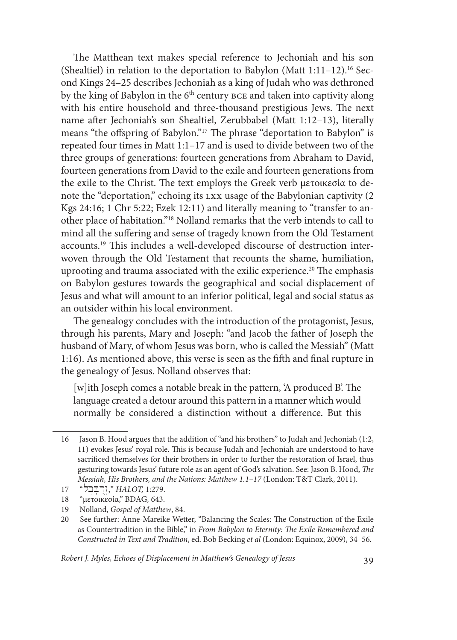The Matthean text makes special reference to Jechoniah and his son (Shealtiel) in relation to the deportation to Babylon (Matt  $1:11-12$ ).<sup>16</sup> Second Kings 24–25 describes Jechoniah as a king of Judah who was dethroned by the king of Babylon in the 6<sup>th</sup> century BCE and taken into captivity along with his entire household and three-thousand prestigious Jews. The next name after Jechoniah's son Shealtiel, Zerubbabel (Matt 1:12–13), literally means "the offspring of Babylon."17 The phrase "deportation to Babylon" is repeated four times in Matt 1:1–17 and is used to divide between two of the three groups of generations: fourteen generations from Abraham to David, fourteen generations from David to the exile and fourteen generations from the exile to the Christ. The text employs the Greek verb μετοικεσία to denote the "deportation," echoing its lxx usage of the Babylonian captivity (2 Kgs 24:16; 1 Chr 5:22; Ezek 12:11) and literally meaning to "transfer to another place of habitation."18 Nolland remarks that the verb intends to call to mind all the suffering and sense of tragedy known from the Old Testament accounts.19 This includes a well-developed discourse of destruction interwoven through the Old Testament that recounts the shame, humiliation, uprooting and trauma associated with the exilic experience.20 The emphasis on Babylon gestures towards the geographical and social displacement of Jesus and what will amount to an inferior political, legal and social status as an outsider within his local environment.

The genealogy concludes with the introduction of the protagonist, Jesus, through his parents, Mary and Joseph: "and Jacob the father of Joseph the husband of Mary, of whom Jesus was born, who is called the Messiah" (Matt 1:16). As mentioned above, this verse is seen as the fifth and final rupture in the genealogy of Jesus. Nolland observes that:

[w]ith Joseph comes a notable break in the pattern, 'A produced B'. The language created a detour around this pattern in a manner which would normally be considered a distinction without a difference. But this

*Robert J. Myles, Echoes of Displacement in Matthew's Genealogy of Jesus* 39

<sup>16</sup> Jason B. Hood argues that the addition of "and his brothers" to Judah and Jechoniah (1:2, 11) evokes Jesus' royal role. This is because Judah and Jechoniah are understood to have sacrificed themselves for their brothers in order to further the restoration of Israel, thus gesturing towards Jesus' future role as an agent of God's salvation. See: Jason B. Hood, *The Messiah, His Brothers, and the Nations: Matthew 1.1–17* (London: T&T Clark, 2011).

<sup>17 &</sup>quot;**.** *HALOT,* 1:279.

<sup>18 &</sup>quot;μετοικεσία," BDAG*,* 643.

<sup>19</sup> Nolland, *Gospel of Matthew*, 84.

<sup>20</sup> See further: Anne-Mareike Wetter, "Balancing the Scales: The Construction of the Exile as Countertradition in the Bible," in *From Babylon to Eternity: The Exile Remembered and Constructed in Text and Tradition*, ed. Bob Becking *et al* (London: Equinox, 2009), 34–56.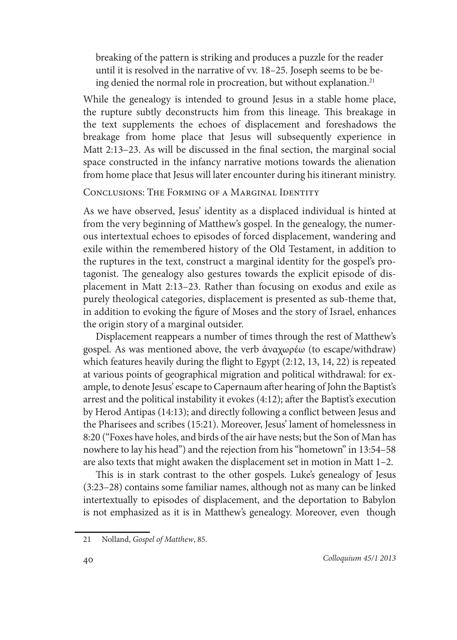breaking of the pattern is striking and produces a puzzle for the reader until it is resolved in the narrative of vv. 18–25. Joseph seems to be being denied the normal role in procreation, but without explanation.<sup>21</sup>

While the genealogy is intended to ground Jesus in a stable home place, the rupture subtly deconstructs him from this lineage. This breakage in the text supplements the echoes of displacement and foreshadows the breakage from home place that Jesus will subsequently experience in Matt 2:13–23. As will be discussed in the final section, the marginal social space constructed in the infancy narrative motions towards the alienation from home place that Jesus will later encounter during his itinerant ministry.

Conclusions: The Forming of a Marginal Identity

As we have observed, Jesus' identity as a displaced individual is hinted at from the very beginning of Matthew's gospel. In the genealogy, the numerous intertextual echoes to episodes of forced displacement, wandering and exile within the remembered history of the Old Testament, in addition to the ruptures in the text, construct a marginal identity for the gospel's protagonist. The genealogy also gestures towards the explicit episode of displacement in Matt 2:13–23. Rather than focusing on exodus and exile as purely theological categories, displacement is presented as sub-theme that, in addition to evoking the figure of Moses and the story of Israel, enhances the origin story of a marginal outsider.

Displacement reappears a number of times through the rest of Matthew's gospel. As was mentioned above, the verb ἀναχωρέω (to escape/withdraw) which features heavily during the flight to Egypt (2:12, 13, 14, 22) is repeated at various points of geographical migration and political withdrawal: for example, to denote Jesus' escape to Capernaum after hearing of John the Baptist's arrest and the political instability it evokes (4:12); after the Baptist's execution by Herod Antipas (14:13); and directly following a conflict between Jesus and the Pharisees and scribes (15:21). Moreover, Jesus' lament of homelessness in 8:20 ("Foxes have holes, and birds of the air have nests; but the Son of Man has nowhere to lay his head") and the rejection from his "hometown" in 13:54–58 are also texts that might awaken the displacement set in motion in Matt 1–2.

This is in stark contrast to the other gospels. Luke's genealogy of Jesus (3:23–28) contains some familiar names, although not as many can be linked intertextually to episodes of displacement, and the deportation to Babylon is not emphasized as it is in Matthew's genealogy. Moreover, even though

<sup>21</sup> Nolland, *Gospel of Matthew*, 85.